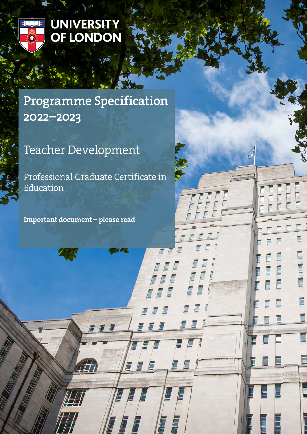

# UNIVERSITY<br>OF LONDON

# Programme Specification 2022–2023

# Teacher Development

Professional Graduate Certificate in Education

FFF

E

E

E

Ē

Important document – please read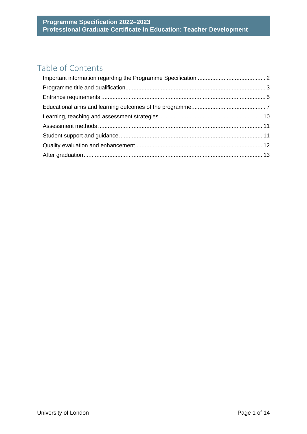# Table of Contents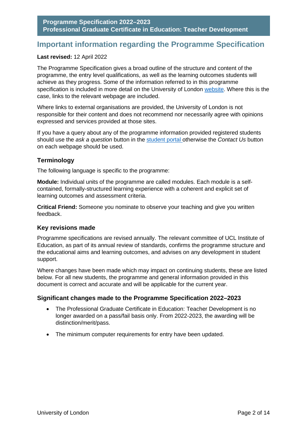# <span id="page-2-0"></span>**Important information regarding the Programme Specification**

#### **Last revised:** 12 April 2022

The Programme Specification gives a broad outline of the structure and content of the programme, the entry level qualifications, as well as the learning outcomes students will achieve as they progress. Some of the information referred to in this programme specification is included in more detail on the University of London [website.](http://www.london.ac.uk/) Where this is the case, links to the relevant webpage are included.

Where links to external organisations are provided, the University of London is not responsible for their content and does not recommend nor necessarily agree with opinions expressed and services provided at those sites.

If you have a query about any of the programme information provided registered students should use the *ask a question* button in the [student portal o](https://my.london.ac.uk/)therwise the *Contact Us* button on each webpage should be used.

#### **Terminology**

The following language is specific to the programme:

**Module:** Individual units of the programme are called modules. Each module is a selfcontained, formally-structured learning experience with a coherent and explicit set of learning outcomes and assessment criteria.

**Critical Friend:** Someone you nominate to observe your teaching and give you written feedback.

#### **Key revisions made**

Programme specifications are revised annually. The relevant committee of UCL Institute of Education, as part of its annual review of standards, confirms the programme structure and the educational aims and learning outcomes, and advises on any development in student support.

Where changes have been made which may impact on continuing students, these are listed below. For all new students, the programme and general information provided in this document is correct and accurate and will be applicable for the current year.

#### **Significant changes made to the Programme Specification 2022–2023**

- The Professional Graduate Certificate in Education: Teacher Development is no longer awarded on a pass/fail basis only. From 2022-2023, the awarding will be distinction/merit/pass.
- The minimum computer requirements for entry have been updated.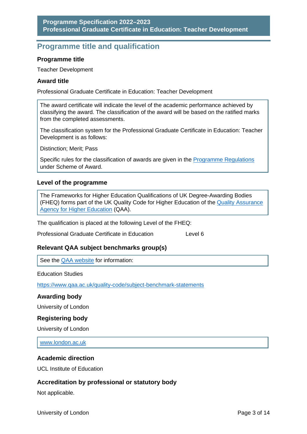# <span id="page-3-0"></span>**Programme title and qualification**

#### **Programme title**

Teacher Development

#### **Award title**

Professional Graduate Certificate in Education: Teacher Development

The award certificate will indicate the level of the academic performance achieved by classifying the award. The classification of the award will be based on the ratified marks from the completed assessments.

The classification system for the Professional Graduate Certificate in Education: Teacher Development is as follows:

Distinction; Merit; Pass

Specific rules for the classification of awards are given in the [Programme Regulations](https://london.ac.uk/current-students/programme-documents/regulations) under Scheme of Award.

#### **Level of the programme**

The Frameworks for Higher Education Qualifications of UK Degree-Awarding Bodies (FHEQ) forms part of the UK Quality Code for Higher Education of the [Quality Assurance](http://www.qaa.ac.uk/en)  [Agency for Higher Education](http://www.qaa.ac.uk/en) (QAA).

The qualification is placed at the following Level of the FHEQ:

Professional Graduate Certificate in Education Level 6

#### **Relevant QAA subject benchmarks group(s)**

See the [QAA website](http://www.qaa.ac.uk/) for information:

Education Studies

<https://www.qaa.ac.uk/quality-code/subject-benchmark-statements>

#### **Awarding body**

University of London

#### **Registering body**

University of London

[www.london.ac.uk](http://www.london.ac.uk/)

#### **Academic direction**

UCL Institute of Education

#### **Accreditation by professional or statutory body**

Not applicable.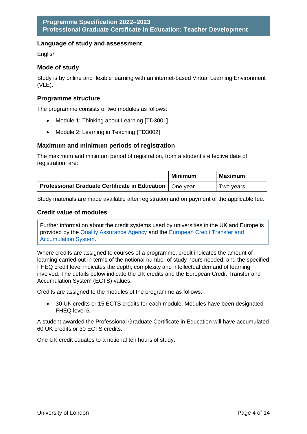#### **Language of study and assessment**

English

#### **Mode of study**

Study is by online and flexible learning with an internet-based Virtual Learning Environment (VLE).

#### **Programme structure**

The programme consists of two modules as follows:

- Module 1: Thinking about Learning [TD3001]
- Module 2: Learning in Teaching [TD3002]

#### **Maximum and minimum periods of registration**

The maximum and minimum period of registration, from a student's effective date of registration, are:

|                                                                 | <b>Minimum</b> | Maximum   |
|-----------------------------------------------------------------|----------------|-----------|
| Professional Graduate Certificate in Education $\vert$ One year |                | Two years |

Study materials are made available after registration and on payment of the applicable fee.

#### **Credit value of modules**

Further information about the credit systems used by universities in the UK and Europe is provided by the [Quality Assurance Agency](http://www.qaa.ac.uk/en) and the [European Credit Transfer and](http://ec.europa.eu/education/resources/european-credit-transfer-accumulation-system_en.htm)  [Accumulation System.](http://ec.europa.eu/education/resources/european-credit-transfer-accumulation-system_en.htm)

Where credits are assigned to courses of a programme, credit indicates the amount of learning carried out in terms of the notional number of study hours needed, and the specified FHEQ credit level indicates the depth, complexity and intellectual demand of learning involved. The details below indicate the UK credits and the European Credit Transfer and Accumulation System (ECTS) values.

Credits are assigned to the modules of the programme as follows:

• 30 UK credits or 15 ECTS credits for each module. Modules have been designated FHEQ level 6.

A student awarded the Professional Graduate Certificate in Education will have accumulated 60 UK credits or 30 ECTS credits.

One UK credit equates to a notional ten hours of study.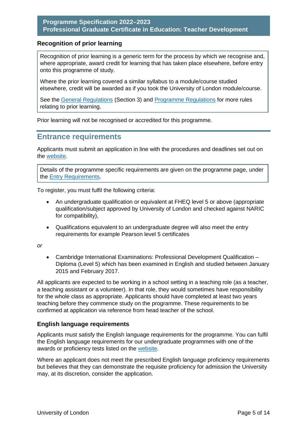#### **Recognition of prior learning**

Recognition of prior learning is a generic term for the process by which we recognise and, where appropriate, award credit for learning that has taken place elsewhere, before entry onto this programme of study.

Where the prior learning covered a similar syllabus to a module/course studied elsewhere, credit will be awarded as if you took the University of London module/course.

See the [General Regulations](https://london.ac.uk/current-students/programme-documents/regulations) (Section 3) and [Programme Regulations](https://london.ac.uk/current-students/programme-documents/regulations) for more rules relating to prior learning.

Prior learning will not be recognised or accredited for this programme.

### <span id="page-5-0"></span>**Entrance requirements**

Applicants must submit an application in line with the procedures and deadlines set out on the [website.](https://london.ac.uk/applications/how-apply)

Details of the programme specific requirements are given on the programme page, under the [Entry Requirements.](https://london.ac.uk/courses/teacher-development#entry-requirements)

To register, you must fulfil the following criteria:

- An undergraduate qualification or equivalent at FHEQ level 5 or above (appropriate qualification/subject approved by University of London and checked against NARIC for compatibility),
- Qualifications equivalent to an undergraduate degree will also meet the entry requirements for example Pearson level 5 certificates

*or*

• Cambridge International Examinations: Professional Development Qualification – Diploma (Level 5) which has been examined in English and studied between January 2015 and February 2017.

All applicants are expected to be working in a school setting in a teaching role (as a teacher, a teaching assistant or a volunteer). In that role, they would sometimes have responsibility for the whole class as appropriate. Applicants should have completed at least two years teaching before they commence study on the programme. These requirements to be confirmed at application via reference from head teacher of the school.

#### **English language requirements**

Applicants must satisfy the English language requirements for the programme. You can fulfil the English language requirements for our undergraduate programmes with one of the awards or proficiency tests listed on the [website.](https://london.ac.uk/applications/how-apply/english-requirements)

Where an applicant does not meet the prescribed English language proficiency requirements but believes that they can demonstrate the requisite proficiency for admission the University may, at its discretion, consider the application.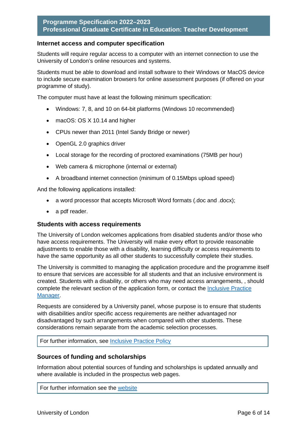#### **Internet access and computer specification**

Students will require regular access to a computer with an internet connection to use the University of London's online resources and systems.

Students must be able to download and install software to their Windows or MacOS device to include secure examination browsers for online assessment purposes (if offered on your programme of study).

The computer must have at least the following minimum specification:

- Windows: 7, 8, and 10 on 64-bit platforms (Windows 10 recommended)
- macOS: OS X 10.14 and higher
- CPUs newer than 2011 (Intel Sandy Bridge or newer)
- OpenGL 2.0 graphics driver
- Local storage for the recording of proctored examinations (75MB per hour)
- Web camera & microphone (internal or external)
- A broadband internet connection (minimum of 0.15Mbps upload speed)

And the following applications installed:

- a word processor that accepts Microsoft Word formats (.doc and .docx);
- a pdf reader.

#### **Students with access requirements**

The University of London welcomes applications from disabled students and/or those who have access requirements. The University will make every effort to provide reasonable adjustments to enable those with a disability, learning difficulty or access requirements to have the same opportunity as all other students to successfully complete their studies.

The University is committed to managing the application procedure and the programme itself to ensure that services are accessible for all students and that an inclusive environment is created. Students with a disability, or others who may need access arrangements, , should complete the relevant section of the application form, or contact the [Inclusive Practice](mailto:special.arrangements@london.ac.uk)  [Manager.](mailto:special.arrangements@london.ac.uk)

Requests are considered by a University panel, whose purpose is to ensure that students with disabilities and/or specific access requirements are neither advantaged nor disadvantaged by such arrangements when compared with other students. These considerations remain separate from the academic selection processes.

#### For further information, see [Inclusive Practice Policy](https://london.ac.uk/applications/how-it-works/inclusive-practice-access-arrangements)

#### **Sources of funding and scholarships**

Information about potential sources of funding and scholarships is updated annually and where available is included in the prospectus web pages.

For further information see the [website](https://london.ac.uk/applications/funding-your-study)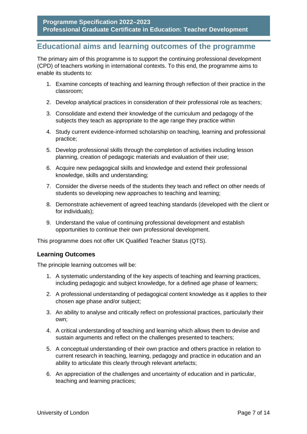# <span id="page-7-0"></span>**Educational aims and learning outcomes of the programme**

The primary aim of this programme is to support the continuing professional development (CPD) of teachers working in international contexts. To this end, the programme aims to enable its students to:

- 1. Examine concepts of teaching and learning through reflection of their practice in the classroom;
- 2. Develop analytical practices in consideration of their professional role as teachers;
- 3. Consolidate and extend their knowledge of the curriculum and pedagogy of the subjects they teach as appropriate to the age range they practice within
- 4. Study current evidence-informed scholarship on teaching, learning and professional practice;
- 5. Develop professional skills through the completion of activities including lesson planning, creation of pedagogic materials and evaluation of their use;
- 6. Acquire new pedagogical skills and knowledge and extend their professional knowledge, skills and understanding;
- 7. Consider the diverse needs of the students they teach and reflect on other needs of students so developing new approaches to teaching and learning;
- 8. Demonstrate achievement of agreed teaching standards (developed with the client or for individuals);
- 9. Understand the value of continuing professional development and establish opportunities to continue their own professional development.

This programme does not offer UK Qualified Teacher Status (QTS).

#### **Learning Outcomes**

The principle learning outcomes will be:

- 1. A systematic understanding of the key aspects of teaching and learning practices, including pedagogic and subject knowledge, for a defined age phase of learners;
- 2. A professional understanding of pedagogical content knowledge as it applies to their chosen age phase and/or subject;
- 3. An ability to analyse and critically reflect on professional practices, particularly their own;
- 4. A critical understanding of teaching and learning which allows them to devise and sustain arguments and reflect on the challenges presented to teachers;
- 5. A conceptual understanding of their own practice and others practice in relation to current research in teaching, learning, pedagogy and practice in education and an ability to articulate this clearly through relevant artefacts;
- 6. An appreciation of the challenges and uncertainty of education and in particular, teaching and learning practices;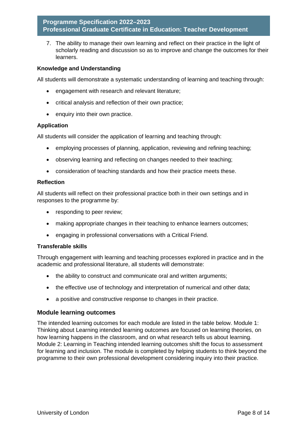7. The ability to manage their own learning and reflect on their practice in the light of scholarly reading and discussion so as to improve and change the outcomes for their learners.

#### **Knowledge and Understanding**

All students will demonstrate a systematic understanding of learning and teaching through:

- engagement with research and relevant literature;
- critical analysis and reflection of their own practice;
- enquiry into their own practice.

#### **Application**

All students will consider the application of learning and teaching through:

- employing processes of planning, application, reviewing and refining teaching;
- observing learning and reflecting on changes needed to their teaching;
- consideration of teaching standards and how their practice meets these.

#### **Reflection**

All students will reflect on their professional practice both in their own settings and in responses to the programme by:

- responding to peer review;
- making appropriate changes in their teaching to enhance learners outcomes;
- engaging in professional conversations with a Critical Friend.

#### **Transferable skills**

Through engagement with learning and teaching processes explored in practice and in the academic and professional literature, all students will demonstrate:

- the ability to construct and communicate oral and written arguments:
- the effective use of technology and interpretation of numerical and other data;
- a positive and constructive response to changes in their practice.

#### **Module learning outcomes**

The intended learning outcomes for each module are listed in the table below. Module 1: Thinking about Learning intended learning outcomes are focused on learning theories, on how learning happens in the classroom, and on what research tells us about learning. Module 2: Learning in Teaching intended learning outcomes shift the focus to assessment for learning and inclusion. The module is completed by helping students to think beyond the programme to their own professional development considering inquiry into their practice.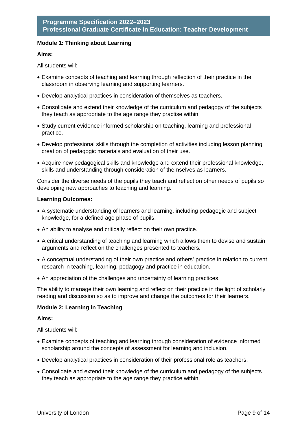#### **Module 1: Thinking about Learning**

#### **Aims:**

All students will:

- Examine concepts of teaching and learning through reflection of their practice in the classroom in observing learning and supporting learners.
- Develop analytical practices in consideration of themselves as teachers.
- Consolidate and extend their knowledge of the curriculum and pedagogy of the subjects they teach as appropriate to the age range they practise within.
- Study current evidence informed scholarship on teaching, learning and professional practice.
- Develop professional skills through the completion of activities including lesson planning, creation of pedagogic materials and evaluation of their use.
- Acquire new pedagogical skills and knowledge and extend their professional knowledge, skills and understanding through consideration of themselves as learners.

Consider the diverse needs of the pupils they teach and reflect on other needs of pupils so developing new approaches to teaching and learning.

#### **Learning Outcomes:**

- A systematic understanding of learners and learning, including pedagogic and subject knowledge, for a defined age phase of pupils.
- An ability to analyse and critically reflect on their own practice.
- A critical understanding of teaching and learning which allows them to devise and sustain arguments and reflect on the challenges presented to teachers.
- A conceptual understanding of their own practice and others' practice in relation to current research in teaching, learning, pedagogy and practice in education.
- An appreciation of the challenges and uncertainty of learning practices.

The ability to manage their own learning and reflect on their practice in the light of scholarly reading and discussion so as to improve and change the outcomes for their learners.

#### **Module 2: Learning in Teaching**

#### **Aims:**

All students will:

- Examine concepts of teaching and learning through consideration of evidence informed scholarship around the concepts of assessment for learning and inclusion.
- Develop analytical practices in consideration of their professional role as teachers.
- Consolidate and extend their knowledge of the curriculum and pedagogy of the subjects they teach as appropriate to the age range they practice within.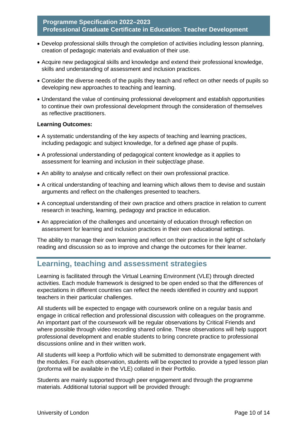- Develop professional skills through the completion of activities including lesson planning, creation of pedagogic materials and evaluation of their use.
- Acquire new pedagogical skills and knowledge and extend their professional knowledge, skills and understanding of assessment and inclusion practices.
- Consider the diverse needs of the pupils they teach and reflect on other needs of pupils so developing new approaches to teaching and learning.
- Understand the value of continuing professional development and establish opportunities to continue their own professional development through the consideration of themselves as reflective practitioners.

#### **Learning Outcomes:**

- A systematic understanding of the key aspects of teaching and learning practices, including pedagogic and subject knowledge, for a defined age phase of pupils.
- A professional understanding of pedagogical content knowledge as it applies to assessment for learning and inclusion in their subject/age phase.
- An ability to analyse and critically reflect on their own professional practice.
- A critical understanding of teaching and learning which allows them to devise and sustain arguments and reflect on the challenges presented to teachers.
- A conceptual understanding of their own practice and others practice in relation to current research in teaching, learning, pedagogy and practice in education.
- An appreciation of the challenges and uncertainty of education through reflection on assessment for learning and inclusion practices in their own educational settings.

The ability to manage their own learning and reflect on their practice in the light of scholarly reading and discussion so as to improve and change the outcomes for their learner.

# <span id="page-10-0"></span>**Learning, teaching and assessment strategies**

Learning is facilitated through the Virtual Learning Environment (VLE) through directed activities. Each module framework is designed to be open ended so that the differences of expectations in different countries can reflect the needs identified in country and support teachers in their particular challenges.

All students will be expected to engage with coursework online on a regular basis and engage in critical reflection and professional discussion with colleagues on the programme. An important part of the coursework will be regular observations by Critical Friends and where possible through video recording shared online. These observations will help support professional development and enable students to bring concrete practice to professional discussions online and in their written work.

All students will keep a Portfolio which will be submitted to demonstrate engagement with the modules. For each observation, students will be expected to provide a typed lesson plan (proforma will be available in the VLE) collated in their Portfolio.

Students are mainly supported through peer engagement and through the programme materials. Additional tutorial support will be provided through: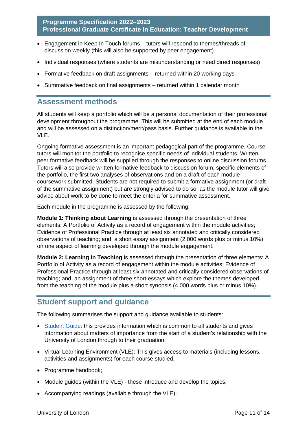- Engagement in Keep In Touch forums tutors will respond to themes/threads of discussion weekly (this will also be supported by peer engagement)
- Individual responses (where students are misunderstanding or need direct responses)
- Formative feedback on draft assignments returned within 20 working days
- Summative feedback on final assignments returned within 1 calendar month

#### <span id="page-11-0"></span>**Assessment methods**

All students will keep a portfolio which will be a personal documentation of their professional development throughout the programme. This will be submitted at the end of each module and will be assessed on a distinction/merit/pass basis. Further guidance is available in the VLE.

Ongoing formative assessment is an important pedagogical part of the programme. Course tutors will monitor the portfolio to recognise specific needs of individual students. Written peer formative feedback will be supplied through the responses to online discussion forums. Tutors will also provide written formative feedback to discussion forum, specific elements of the portfolio, the first two analyses of observations and on a draft of each module coursework submitted. Students are not required to submit a formative assignment (or draft of the summative assignment) but are strongly advised to do so, as the module tutor will give advice about work to be done to meet the criteria for summative assessment.

Each module in the programme is assessed by the following:

**Module 1: Thinking about Learning** is assessed through the presentation of three elements: A Portfolio of Activity as a record of engagement within the module activities; Evidence of Professional Practice through at least six annotated and critically considered observations of teaching; and, a short essay assignment (2,000 words plus or minus 10%) on one aspect of learning developed through the module engagement.

**Module 2: Learning in Teaching** is assessed through the presentation of three elements: A Portfolio of Activity as a record of engagement within the module activities; Evidence of Professional Practice through at least six annotated and critically considered observations of teaching; and, an assignment of three short essays which explore the themes developed from the teaching of the module plus a short synopsis (4,000 words plus or minus 10%).

## <span id="page-11-1"></span>**Student support and guidance**

The following summarises the support and guidance available to students:

- [Student Guide:](https://london.ac.uk/current-students/programme-documents) this provides information which is common to all students and gives information about matters of importance from the start of a student's relationship with the University of London through to their graduation;
- Virtual Learning Environment (VLE): This gives access to materials (including lessons, activities and assignments) for each course studied.
- Programme handbook;
- Module guides (within the VLE) these introduce and develop the topics;
- Accompanying readings (available through the VLE);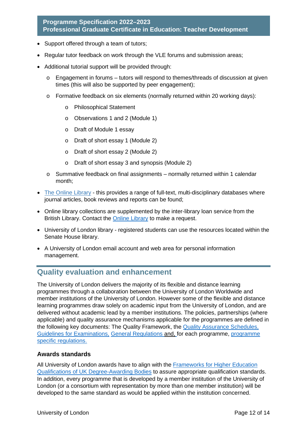- Support offered through a team of tutors;
- Regular tutor feedback on work through the VLE forums and submission areas;
- Additional tutorial support will be provided through:
	- $\circ$  Engagement in forums tutors will respond to themes/threads of discussion at given times (this will also be supported by peer engagement);
	- o Formative feedback on six elements (normally returned within 20 working days):
		- o Philosophical Statement
		- o Observations 1 and 2 (Module 1)
		- o Draft of Module 1 essay
		- o Draft of short essay 1 (Module 2)
		- o Draft of short essay 2 (Module 2)
		- o Draft of short essay 3 and synopsis (Module 2)
	- o Summative feedback on final assignments normally returned within 1 calendar month;
- [The Online Library](http://onlinelibrary.london.ac.uk/) this provides a range of full-text, multi-disciplinary databases where journal articles, book reviews and reports can be found;
- Online library collections are supplemented by the inter-library loan service from the British Library. Contact the [Online Library](http://onlinelibrary.london.ac.uk/) to make a request.
- University of London library registered students can use the resources located within the Senate House library.
- A University of London email account and web area for personal information management.

# <span id="page-12-0"></span>**Quality evaluation and enhancement**

The University of London delivers the majority of its flexible and distance learning programmes through a collaboration between the University of London Worldwide and member institutions of the University of London. However some of the flexible and distance learning programmes draw solely on academic input from the University of London, and are delivered without academic lead by a member institutions. The policies, partnerships (where applicable) and quality assurance mechanisms applicable for the programmes are defined in the following key documents: The Quality Framework, the [Quality Assurance Schedules,](https://london.ac.uk/about-us/academic-quality)  [Guidelines for Examinations,](https://london.ac.uk/support-examiners) General Regulations and, [for each programme, programme](http://www.london.ac.uk/regs)  [specific regulations.](http://www.london.ac.uk/regs)

#### **Awards standards**

All University of London awards have to align with the [Frameworks for Higher Education](https://www.qaa.ac.uk/docs/qaa/quality-code/qualifications-frameworks.pdf)  [Qualifications of UK Degree-Awarding Bodies](https://www.qaa.ac.uk/docs/qaa/quality-code/qualifications-frameworks.pdf) to assure appropriate qualification standards. In addition, every programme that is developed by a member institution of the University of London (or a consortium with representation by more than one member institution) will be developed to the same standard as would be applied within the institution concerned.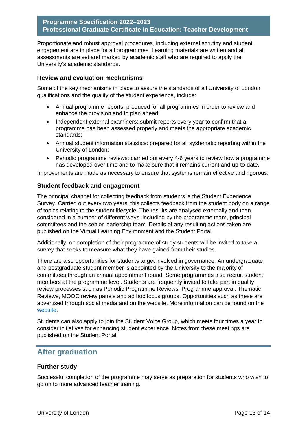Proportionate and robust approval procedures, including external scrutiny and student engagement are in place for all programmes. Learning materials are written and all assessments are set and marked by academic staff who are required to apply the University's academic standards.

#### **Review and evaluation mechanisms**

Some of the key mechanisms in place to assure the standards of all University of London qualifications and the quality of the student experience, include:

- Annual programme reports: produced for all programmes in order to review and enhance the provision and to plan ahead;
- Independent external examiners: submit reports every year to confirm that a programme has been assessed properly and meets the appropriate academic standards;
- Annual student information statistics: prepared for all systematic reporting within the University of London;
- Periodic programme reviews: carried out every 4-6 years to review how a programme has developed over time and to make sure that it remains current and up-to-date.

Improvements are made as necessary to ensure that systems remain effective and rigorous.

#### **Student feedback and engagement**

The principal channel for collecting feedback from students is the Student Experience Survey. Carried out every two years, this collects feedback from the student body on a range of topics relating to the student lifecycle. The results are analysed externally and then considered in a number of different ways, including by the programme team, principal committees and the senior leadership team. Details of any resulting actions taken are published on the Virtual Learning Environment and the Student Portal.

Additionally, on completion of their programme of study students will be invited to take a survey that seeks to measure what they have gained from their studies.

There are also opportunities for students to get involved in governance. An undergraduate and postgraduate student member is appointed by the University to the majority of committees through an annual appointment round. Some programmes also recruit student members at the programme level. Students are frequently invited to take part in quality review processes such as Periodic Programme Reviews, Programme approval, Thematic Reviews, MOOC review panels and ad hoc focus groups. Opportunities such as these are advertised through social media and on the website. More information can be found on the [website.](https://london.ac.uk/current-students/getting-involved)

Students can also apply to join the Student Voice Group, which meets four times a year to consider initiatives for enhancing student experience. Notes from these meetings are published on the Student Portal.

## <span id="page-13-0"></span>**After graduation**

#### **Further study**

Successful completion of the programme may serve as preparation for students who wish to go on to more advanced teacher training.